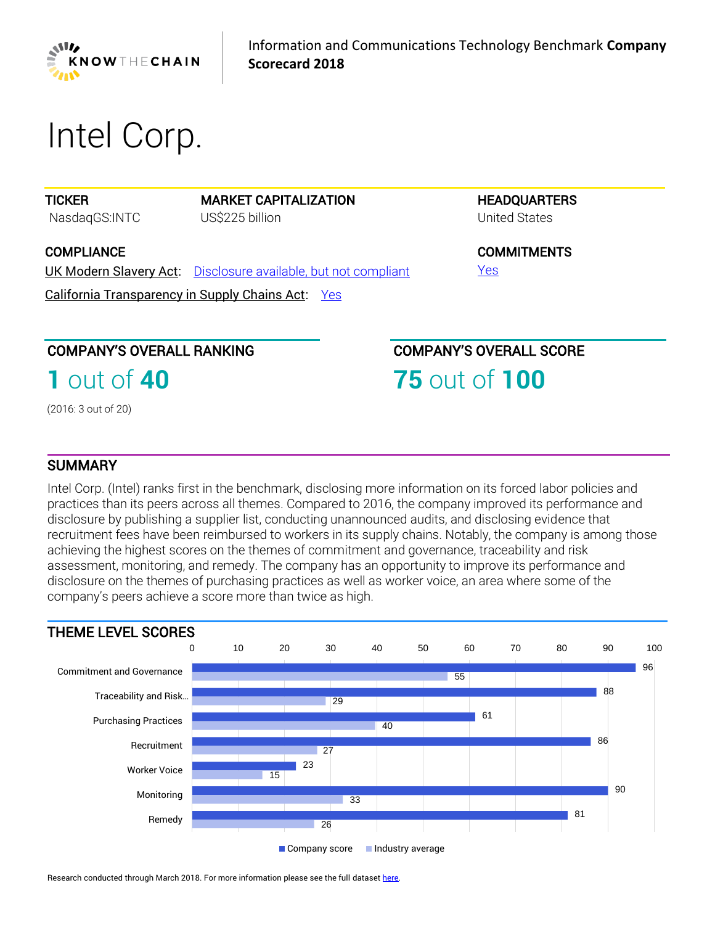

# *Intel Corp.*

**TICKER** 

MARKET CAPITALIZATION *US\$225 billion*

**COMPLIANCE** 

*NasdaqGS:INTC*

UK Modern Slavery Act: *[Disclosure available, but not compliant](https://www.business-humanrights.org/en/knowthechain-ict-company-disclosure)*

California Transparency in Supply Chains Act: *[Yes](https://www.business-humanrights.org/en/knowthechain-ict-company-disclosure)*

**HEADQUARTERS** *United States*

**COMMITMENTS** *[Yes](https://www.business-humanrights.org/en/knowthechain-ict-company-disclosure)*

# COMPANY'S OVERALL RANKING

**1** *out of* **40**

*(2016: 3 out of 20)* 

COMPANY'S OVERALL SCORE

**75** *out of* **100**

## **SUMMARY**

*Intel Corp. (Intel) ranks first in the benchmark, disclosing more information on its forced labor policies and practices than its peers across all themes. Compared to 2016, the company improved its performance and disclosure by publishing a supplier list, conducting unannounced audits, and disclosing evidence that*  recruitment fees have been reimbursed to workers in its supply chains. Notably, the company is among those *achieving the highest scores on the themes of commitment and governance, traceability and risk assessment, monitoring, and remedy. The company has an opportunity to improve its performance and disclosure on the themes of purchasing practices as well as worker voice, an area where some of the company's peers achieve a score more than twice as high.*



Research conducted through March 2018. For more information please see the full datase[t here.](https://knowthechain.org/benchmark-downloads/)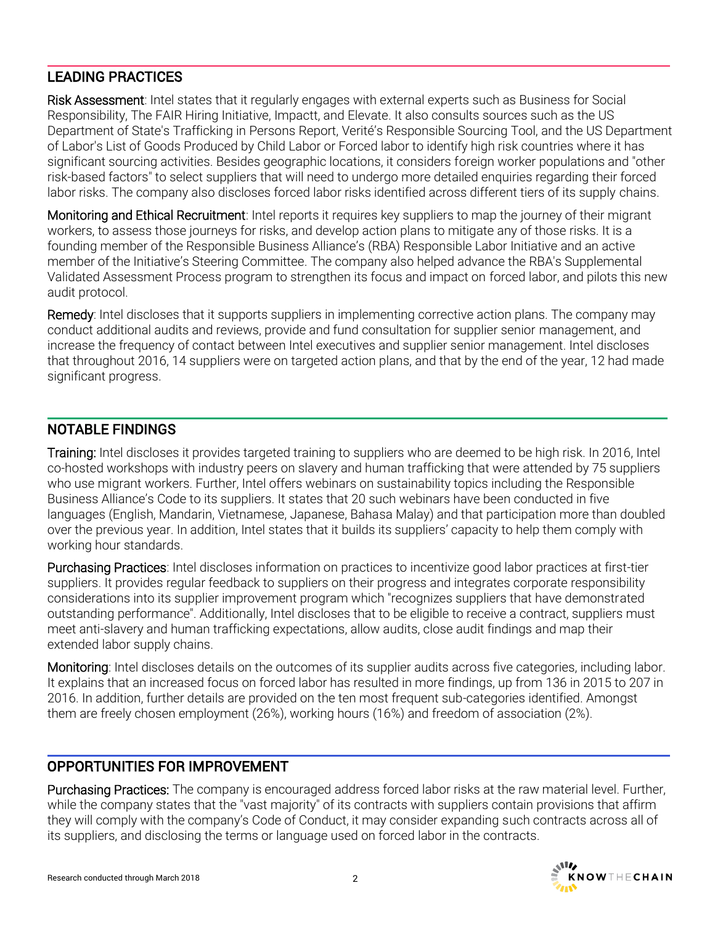# LEADING PRACTICES

*Risk Assessment: Intel states that it regularly engages with external experts such as Business for Social Responsibility, The FAIR Hiring Initiative, Impactt, and Elevate. It also consults sources such as the US Department of State's Trafficking in Persons Report, Verité's Responsible Sourcing Tool, and the US Department of Labor's List of Goods Produced by Child Labor or Forced labor to identify high risk countries where it has significant sourcing activities. Besides geographic locations, it considers foreign worker populations and "other risk-based factors" to select suppliers that will need to undergo more detailed enquiries regarding their forced*  labor risks. The company also discloses forced labor risks identified across different tiers of its supply chains.

*Monitoring and Ethical Recruitment: Intel reports it requires key suppliers to map the journey of their migrant*  workers, to assess those journeys for risks, and develop action plans to mitigate any of those risks. It is a *founding member of the Responsible Business Alliance's (RBA) Responsible Labor Initiative and an active member of the Initiative's Steering Committee. The company also helped advance the RBA's Supplemental Validated Assessment Process program to strengthen its focus and impact on forced labor, and pilots this new audit protocol.*

*Remedy: Intel discloses that it supports suppliers in implementing corrective action plans. The company may conduct additional audits and reviews, provide and fund consultation for supplier senior management, and increase the frequency of contact between Intel executives and supplier senior management. Intel discloses*  that throughout 2016, 14 suppliers were on targeted action plans, and that by the end of the year, 12 had made *significant progress.*

## NOTABLE FINDINGS

**Training:** Intel discloses it provides targeted training to suppliers who are deemed to be high risk. In 2016, Intel *co-hosted workshops with industry peers on slavery and human trafficking that were attended by 75 suppliers*  who use migrant workers. Further, Intel offers webinars on sustainability topics including the Responsible *Business Alliance's Code to its suppliers. It states that 20 such webinars have been conducted in five languages (English, Mandarin, Vietnamese, Japanese, Bahasa Malay) and that participation more than doubled over the previous year. In addition, Intel states that it builds its suppliers' capacity to help them comply with working hour standards.*

*Purchasing Practices: Intel discloses information on practices to incentivize good labor practices at first-tier suppliers. It provides regular feedback to suppliers on their progress and integrates corporate responsibility considerations into its supplier improvement program which "recognizes suppliers that have demonstrated outstanding performance". Additionally, Intel discloses that to be eligible to receive a contract, suppliers must meet anti-slavery and human trafficking expectations, allow audits, close audit findings and map their extended labor supply chains.*

*Monitoring: Intel discloses details on the outcomes of its supplier audits across five categories, including labor.*  It explains that an increased focus on forced labor has resulted in more findings, up from 136 in 2015 to 207 in *2016. In addition, further details are provided on the ten most frequent sub-categories identified. Amongst them are freely chosen employment (26%), working hours (16%) and freedom of association (2%).*

## OPPORTUNITIES FOR IMPROVEMENT

*Purchasing Practices: The company is encouraged address forced labor risks at the raw material level. Further, while the company states that the "vast majority" of its contracts with suppliers contain provisions that affirm they will comply with the company's Code of Conduct, it may consider expanding such contracts across all of its suppliers, and disclosing the terms or language used on forced labor in the contracts.*